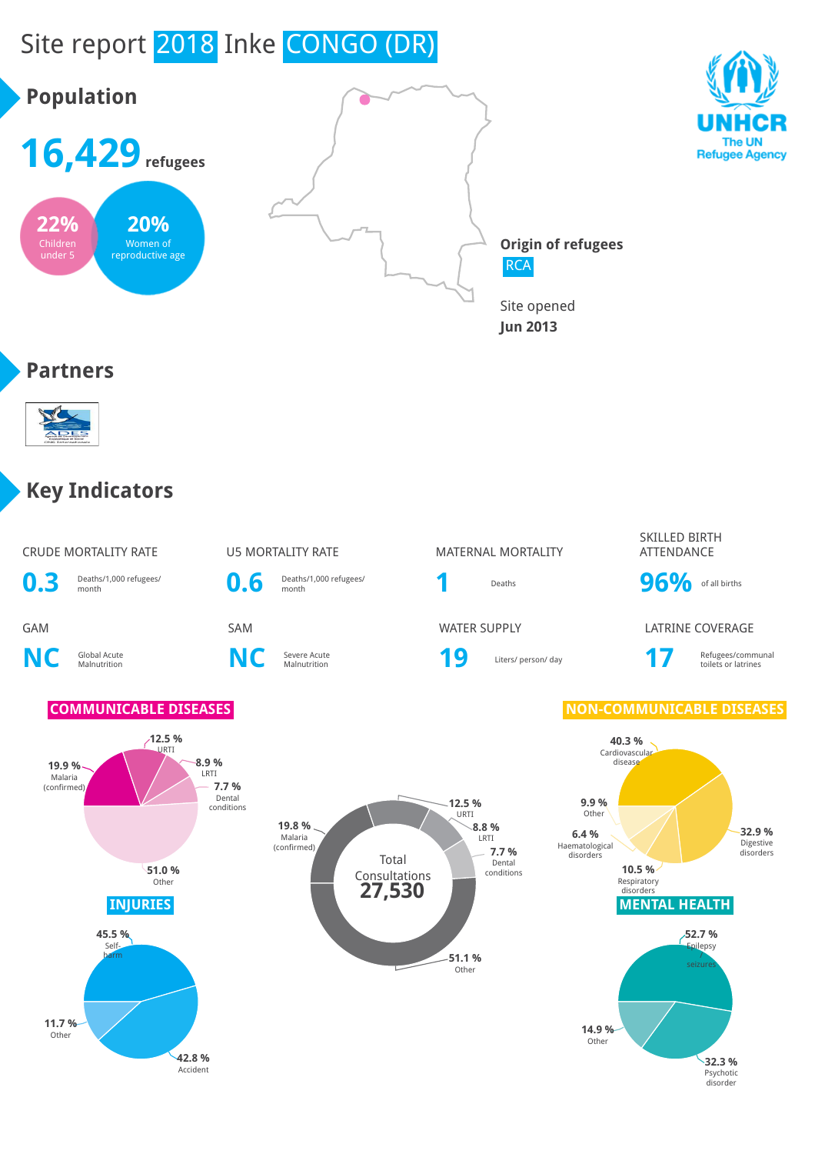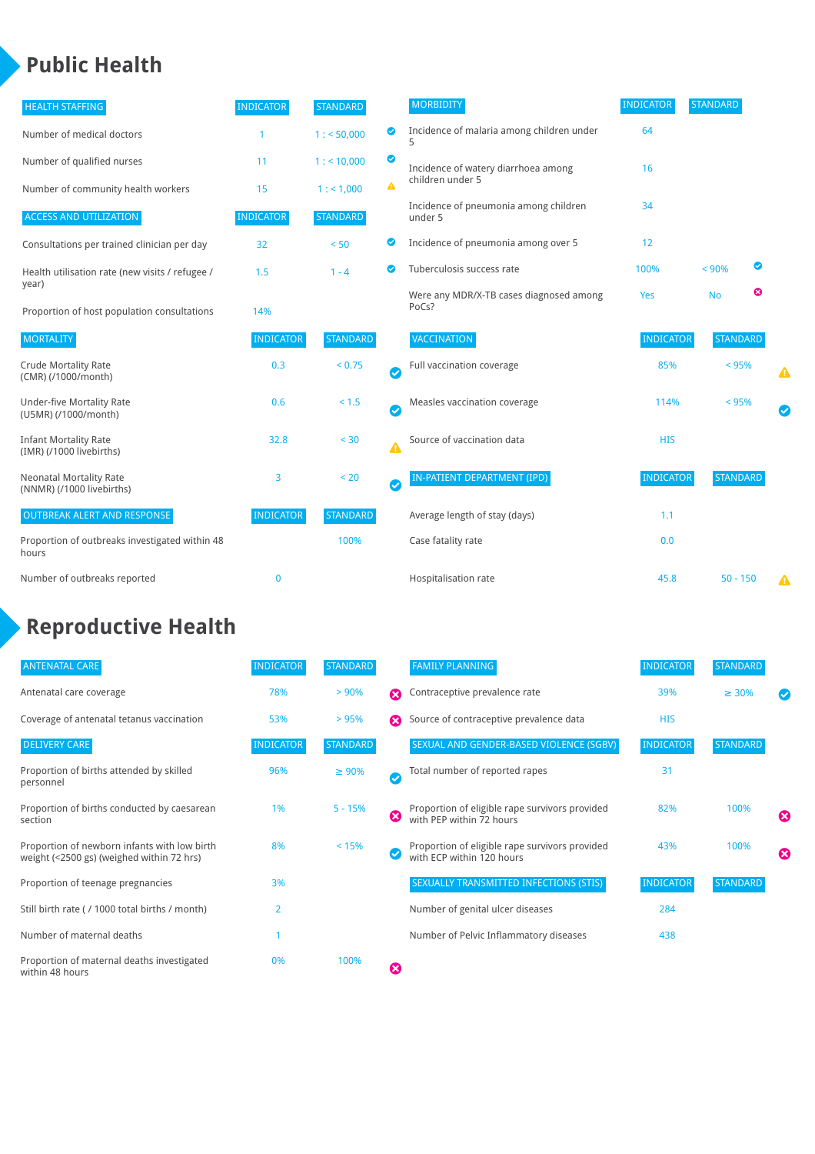## **Public Health**

| <b>HEALTH STAFFING</b>                                      | <b>INDICATOR</b> | <b>STANDARD</b> |           | <b>MORBIDITY</b>                                 | <b>INDICATOR</b> | <b>STANDARD</b> |   |   |
|-------------------------------------------------------------|------------------|-----------------|-----------|--------------------------------------------------|------------------|-----------------|---|---|
| Number of medical doctors                                   |                  | 1: 50,000       | ◎         | Incidence of malaria among children under        | 64               |                 |   |   |
| Number of qualified nurses                                  | 11               | $1:$ < 10,000   | ◙         | Incidence of watery diarrhoea among              | 16               |                 |   |   |
| Number of community health workers                          | 15               | 1: 1,000        | A         | children under 5                                 |                  |                 |   |   |
| <b>ACCESS AND UTILIZATION</b>                               | <b>INDICATOR</b> | <b>STANDARD</b> |           | Incidence of pneumonia among children<br>under 5 | 34               |                 |   |   |
| Consultations per trained clinician per day                 | 32               | < 50            | ◙         | Incidence of pneumonia among over 5              | 12               |                 |   |   |
| Health utilisation rate (new visits / refugee /             | 1.5              | $1 - 4$         | ◙         | Tuberculosis success rate                        | 100%             | < 90%           | ◙ |   |
| year)<br>Proportion of host population consultations        | 14%              |                 |           | Were any MDR/X-TB cases diagnosed among<br>PoCs? | Yes              | <b>No</b>       | ☺ |   |
| <b>MORTALITY</b>                                            | <b>INDICATOR</b> | <b>STANDARD</b> |           | VACCINATION                                      | <b>INDICATOR</b> | <b>STANDARD</b> |   |   |
| <b>Crude Mortality Rate</b><br>(CMR) (/1000/month)          | 0.3              | < 0.75          | Ø         | Full vaccination coverage                        | 85%              | < 95%           |   | ▲ |
| <b>Under-five Mortality Rate</b><br>(U5MR) (/1000/month)    | 0.6              | $< 1.5$         | $\bullet$ | Measles vaccination coverage                     | 114%             | < 95%           |   |   |
| <b>Infant Mortality Rate</b><br>(IMR) (/1000 livebirths)    | 32.8             | < 30            | Δ         | Source of vaccination data                       | <b>HIS</b>       |                 |   |   |
| <b>Neonatal Mortality Rate</b><br>(NNMR) (/1000 livebirths) | 3                | < 20            | $\bullet$ | <b>IN-PATIENT DEPARTMENT (IPD)</b>               | <b>INDICATOR</b> | <b>STANDARD</b> |   |   |
| <b>OUTBREAK ALERT AND RESPONSE</b>                          | <b>INDICATOR</b> | <b>STANDARD</b> |           | Average length of stay (days)                    | 1.1              |                 |   |   |
| Proportion of outbreaks investigated within 48<br>hours     |                  | 100%            |           | Case fatality rate                               | 0.0              |                 |   |   |
| Number of outbreaks reported                                | $\mathbf{0}$     |                 |           | Hospitalisation rate                             | 45.8             | $50 - 150$      |   | Δ |

# **Reproductive Health**

| <b>ANTENATAL CARE</b>                                                                     | <b>INDICATOR</b> | <b>STANDARD</b> |              | <b>FAMILY PLANNING</b>                                                      | <b>INDICATOR</b> | <b>STANDARD</b> |   |
|-------------------------------------------------------------------------------------------|------------------|-----------------|--------------|-----------------------------------------------------------------------------|------------------|-----------------|---|
| Antenatal care coverage                                                                   | 78%              | > 90%           | Ω            | Contraceptive prevalence rate                                               | 39%              | $\geq 30\%$     |   |
| Coverage of antenatal tetanus vaccination                                                 | 53%              | >95%            | Ω            | Source of contraceptive prevalence data                                     | <b>HIS</b>       |                 |   |
| <b>DELIVERY CARE</b>                                                                      | <b>INDICATOR</b> | <b>STANDARD</b> |              | SEXUAL AND GENDER-BASED VIOLENCE (SGBV)                                     | <b>INDICATOR</b> | <b>STANDARD</b> |   |
| Proportion of births attended by skilled<br>personnel                                     | 96%              | $\geq 90\%$     | $\checkmark$ | Total number of reported rapes                                              | 31               |                 |   |
| Proportion of births conducted by caesarean<br>section                                    | 1%               | $5 - 15%$       | ೞ            | Proportion of eligible rape survivors provided<br>with PEP within 72 hours  | 82%              | 100%            | ೞ |
| Proportion of newborn infants with low birth<br>weight (<2500 gs) (weighed within 72 hrs) | 8%               | < 15%           |              | Proportion of eligible rape survivors provided<br>with ECP within 120 hours | 43%              | 100%            | Ø |
| Proportion of teenage pregnancies                                                         | 3%               |                 |              | <b>SEXUALLY TRANSMITTED INFECTIONS (STIS)</b>                               | <b>INDICATOR</b> | <b>STANDARD</b> |   |
| Still birth rate (/ 1000 total births / month)                                            | $\overline{2}$   |                 |              | Number of genital ulcer diseases                                            | 284              |                 |   |
| Number of maternal deaths                                                                 |                  |                 |              | Number of Pelvic Inflammatory diseases                                      | 438              |                 |   |
| Proportion of maternal deaths investigated<br>within 48 hours                             | 0%               | 100%            | Ø            |                                                                             |                  |                 |   |